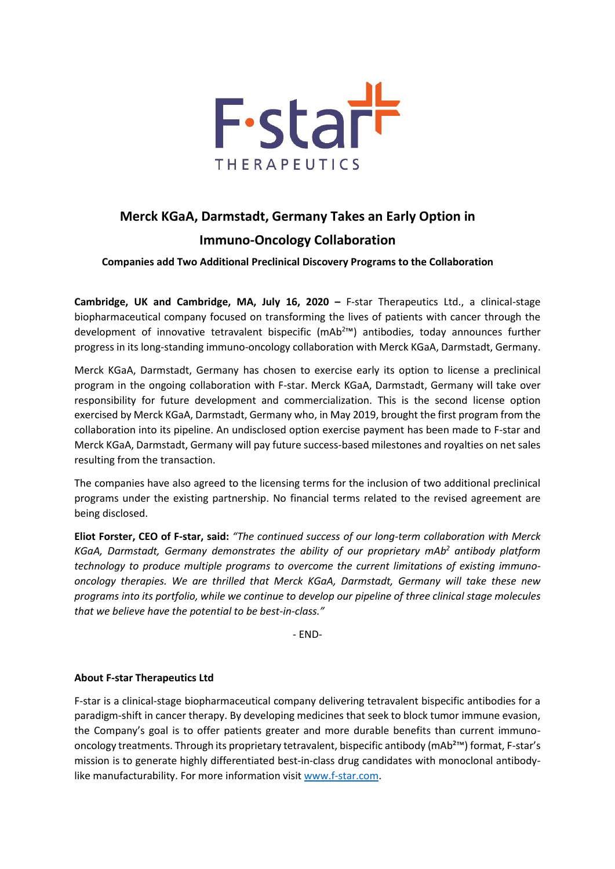

## **Merck KGaA, Darmstadt, Germany Takes an Early Option in Immuno-Oncology Collaboration**

**Companies add Two Additional Preclinical Discovery Programs to the Collaboration**

**Cambridge, UK and Cambridge, MA, July 16, 2020 –** F-star Therapeutics Ltd., a clinical-stage biopharmaceutical company focused on transforming the lives of patients with cancer through the development of innovative tetravalent bispecific (mAb<sup>2</sup>™) antibodies, today announces further progress in its long-standing immuno-oncology collaboration with Merck KGaA, Darmstadt, Germany.

Merck KGaA, Darmstadt, Germany has chosen to exercise early its option to license a preclinical program in the ongoing collaboration with F-star. Merck KGaA, Darmstadt, Germany will take over responsibility for future development and commercialization. This is the second license option exercised by Merck KGaA, Darmstadt, Germany who, in May 2019, brought the first program from the collaboration into its pipeline. An undisclosed option exercise payment has been made to F-star and Merck KGaA, Darmstadt, Germany will pay future success-based milestones and royalties on net sales resulting from the transaction.

The companies have also agreed to the licensing terms for the inclusion of two additional preclinical programs under the existing partnership. No financial terms related to the revised agreement are being disclosed.

**Eliot Forster, CEO of F-star, said:** *"The continued success of our long-term collaboration with Merck KGaA, Darmstadt, Germany demonstrates the ability of our proprietary mAb<sup>2</sup> antibody platform technology to produce multiple programs to overcome the current limitations of existing immunooncology therapies. We are thrilled that Merck KGaA, Darmstadt, Germany will take these new programs into its portfolio, while we continue to develop our pipeline of three clinical stage molecules that we believe have the potential to be best-in-class."*

- END-

## **About F-star Therapeutics Ltd**

F-star is a clinical-stage biopharmaceutical company delivering tetravalent bispecific antibodies for a paradigm-shift in cancer therapy. By developing medicines that seek to block tumor immune evasion, the Company's goal is to offer patients greater and more durable benefits than current immunooncology treatments. Through its proprietary tetravalent, bispecific antibody (mAb²™) format, F-star's mission is to generate highly differentiated best-in-class drug candidates with monoclonal antibodylike manufacturability. For more information visit [www.f-star.com.](http://www.f-star.com/)